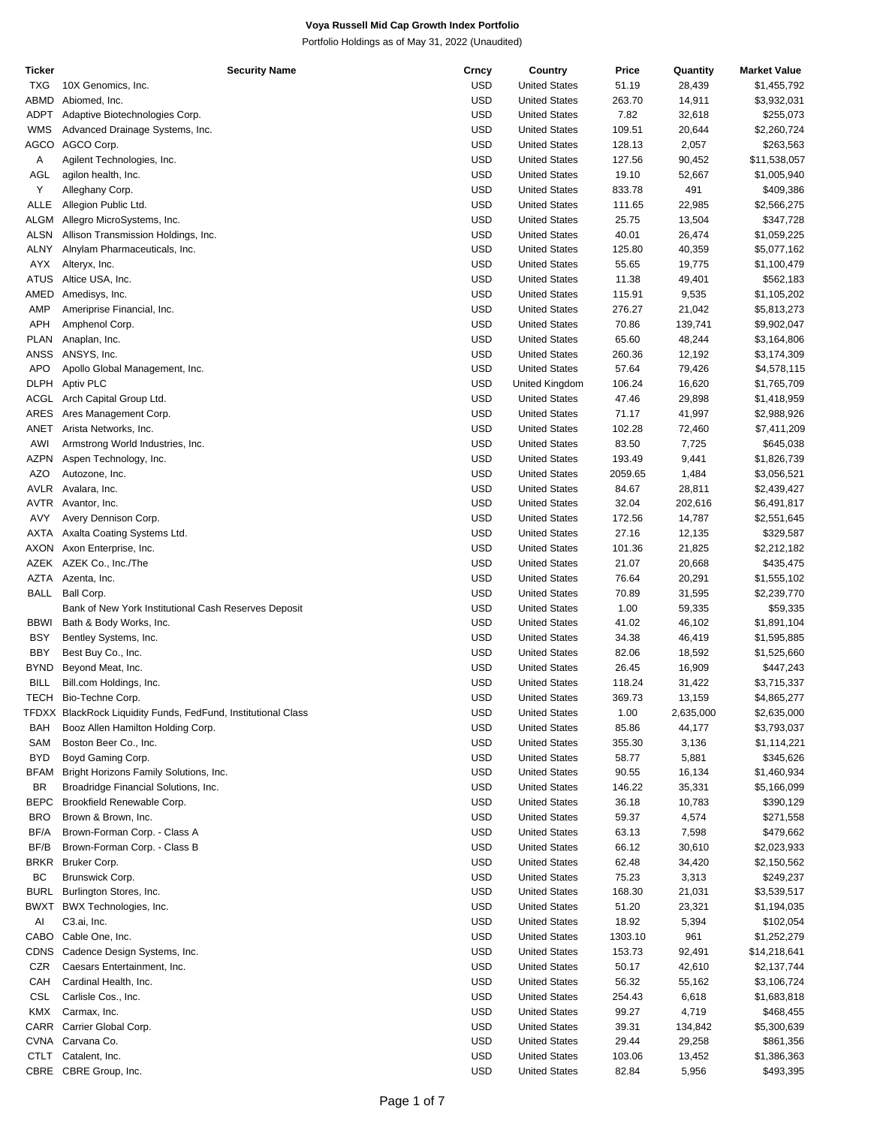| Ticker      | <b>Security Name</b>                                          | Crncy      | Country              | Price   | Quantity  | <b>Market Value</b> |
|-------------|---------------------------------------------------------------|------------|----------------------|---------|-----------|---------------------|
| <b>TXG</b>  | 10X Genomics, Inc.                                            | <b>USD</b> | <b>United States</b> | 51.19   | 28,439    | \$1,455,792         |
| ABMD        | Abiomed, Inc.                                                 | <b>USD</b> | <b>United States</b> | 263.70  | 14,911    | \$3,932,031         |
| <b>ADPT</b> | Adaptive Biotechnologies Corp.                                | <b>USD</b> | <b>United States</b> | 7.82    | 32,618    | \$255,073           |
| <b>WMS</b>  | Advanced Drainage Systems, Inc.                               | <b>USD</b> | <b>United States</b> | 109.51  | 20,644    | \$2,260,724         |
|             |                                                               |            |                      |         |           |                     |
| <b>AGCO</b> | AGCO Corp.                                                    | <b>USD</b> | <b>United States</b> | 128.13  | 2,057     | \$263,563           |
| Α           | Agilent Technologies, Inc.                                    | <b>USD</b> | <b>United States</b> | 127.56  | 90,452    | \$11,538,057        |
| AGL         | agilon health, Inc.                                           | <b>USD</b> | <b>United States</b> | 19.10   | 52,667    | \$1,005,940         |
| Υ           | Alleghany Corp.                                               | <b>USD</b> | <b>United States</b> | 833.78  | 491       | \$409,386           |
| <b>ALLE</b> | Allegion Public Ltd.                                          | <b>USD</b> | <b>United States</b> | 111.65  | 22,985    | \$2,566,275         |
| <b>ALGM</b> | Allegro MicroSystems, Inc.                                    | <b>USD</b> | <b>United States</b> | 25.75   | 13,504    | \$347,728           |
| <b>ALSN</b> | Allison Transmission Holdings, Inc.                           | <b>USD</b> | <b>United States</b> | 40.01   | 26,474    | \$1,059,225         |
|             |                                                               |            |                      |         |           |                     |
| ALNY        | Alnylam Pharmaceuticals, Inc.                                 | <b>USD</b> | <b>United States</b> | 125.80  | 40,359    | \$5,077,162         |
| AYX         | Alteryx, Inc.                                                 | <b>USD</b> | <b>United States</b> | 55.65   | 19,775    | \$1,100,479         |
| <b>ATUS</b> | Altice USA, Inc.                                              | <b>USD</b> | <b>United States</b> | 11.38   | 49,401    | \$562,183           |
| AMED        | Amedisys, Inc.                                                | <b>USD</b> | <b>United States</b> | 115.91  | 9,535     | \$1,105,202         |
| AMP         | Ameriprise Financial, Inc.                                    | <b>USD</b> | <b>United States</b> | 276.27  | 21,042    | \$5,813,273         |
| APH         | Amphenol Corp.                                                | <b>USD</b> | <b>United States</b> | 70.86   | 139,741   | \$9,902,047         |
| <b>PLAN</b> | Anaplan, Inc.                                                 | <b>USD</b> | <b>United States</b> | 65.60   | 48,244    | \$3,164,806         |
|             |                                                               |            |                      |         |           |                     |
| ANSS        | ANSYS, Inc.                                                   | <b>USD</b> | <b>United States</b> | 260.36  | 12,192    | \$3,174,309         |
| <b>APO</b>  | Apollo Global Management, Inc.                                | <b>USD</b> | <b>United States</b> | 57.64   | 79,426    | \$4,578,115         |
| <b>DLPH</b> | Aptiv PLC                                                     | <b>USD</b> | United Kingdom       | 106.24  | 16,620    | \$1,765,709         |
|             | ACGL Arch Capital Group Ltd.                                  | <b>USD</b> | <b>United States</b> | 47.46   | 29,898    | \$1,418,959         |
| ARES        | Ares Management Corp.                                         | <b>USD</b> | <b>United States</b> | 71.17   | 41,997    | \$2,988,926         |
| ANET        | Arista Networks, Inc.                                         | <b>USD</b> | <b>United States</b> | 102.28  | 72,460    | \$7,411,209         |
| AWI         | Armstrong World Industries, Inc.                              | <b>USD</b> | <b>United States</b> | 83.50   | 7,725     | \$645,038           |
|             |                                                               |            |                      |         |           |                     |
| <b>AZPN</b> | Aspen Technology, Inc.                                        | <b>USD</b> | <b>United States</b> | 193.49  | 9,441     | \$1,826,739         |
| <b>AZO</b>  | Autozone, Inc.                                                | <b>USD</b> | <b>United States</b> | 2059.65 | 1,484     | \$3,056,521         |
| AVLR        | Avalara, Inc.                                                 | <b>USD</b> | <b>United States</b> | 84.67   | 28,811    | \$2,439,427         |
| <b>AVTR</b> | Avantor, Inc.                                                 | <b>USD</b> | <b>United States</b> | 32.04   | 202,616   | \$6,491,817         |
| AVY         | Avery Dennison Corp.                                          | <b>USD</b> | <b>United States</b> | 172.56  | 14,787    | \$2,551,645         |
| <b>AXTA</b> | Axalta Coating Systems Ltd.                                   | <b>USD</b> | <b>United States</b> | 27.16   | 12,135    | \$329,587           |
|             | AXON Axon Enterprise, Inc.                                    | <b>USD</b> | <b>United States</b> | 101.36  | 21,825    | \$2,212,182         |
|             |                                                               |            |                      |         |           |                     |
|             | AZEK AZEK Co., Inc./The                                       | <b>USD</b> | <b>United States</b> | 21.07   | 20,668    | \$435,475           |
| AZTA        | Azenta, Inc.                                                  | <b>USD</b> | <b>United States</b> | 76.64   | 20,291    | \$1,555,102         |
| <b>BALL</b> | Ball Corp.                                                    | <b>USD</b> | <b>United States</b> | 70.89   | 31,595    | \$2,239,770         |
|             | Bank of New York Institutional Cash Reserves Deposit          | <b>USD</b> | <b>United States</b> | 1.00    | 59,335    | \$59,335            |
| <b>BBWI</b> | Bath & Body Works, Inc.                                       | <b>USD</b> | <b>United States</b> | 41.02   | 46,102    | \$1,891,104         |
| <b>BSY</b>  | Bentley Systems, Inc.                                         | <b>USD</b> | <b>United States</b> | 34.38   | 46,419    | \$1,595,885         |
| <b>BBY</b>  | Best Buy Co., Inc.                                            | <b>USD</b> | <b>United States</b> | 82.06   | 18,592    | \$1,525,660         |
| <b>BYND</b> |                                                               | <b>USD</b> | <b>United States</b> | 26.45   |           |                     |
|             | Beyond Meat, Inc.                                             |            |                      |         | 16,909    | \$447,243           |
| <b>BILL</b> | Bill.com Holdings, Inc.                                       | <b>USD</b> | <b>United States</b> | 118.24  | 31,422    | \$3,715,337         |
| <b>TECH</b> | Bio-Techne Corp.                                              | <b>USD</b> | <b>United States</b> | 369.73  | 13,159    | \$4,865,277         |
|             | TFDXX BlackRock Liquidity Funds, FedFund, Institutional Class | USD        | <b>United States</b> | 1.00    | 2,635,000 | \$2,635,000         |
| BAH         | Booz Allen Hamilton Holding Corp.                             | <b>USD</b> | <b>United States</b> | 85.86   | 44,177    | \$3,793,037         |
| SAM         | Boston Beer Co., Inc.                                         | USD        | <b>United States</b> | 355.30  | 3,136     | \$1,114,221         |
| <b>BYD</b>  | Boyd Gaming Corp.                                             | <b>USD</b> | <b>United States</b> | 58.77   | 5,881     | \$345,626           |
| <b>BFAM</b> | Bright Horizons Family Solutions, Inc.                        | <b>USD</b> | <b>United States</b> | 90.55   | 16,134    | \$1,460,934         |
|             |                                                               |            |                      |         |           |                     |
| BR          | Broadridge Financial Solutions, Inc.                          | <b>USD</b> | <b>United States</b> | 146.22  | 35,331    | \$5,166,099         |
| <b>BEPC</b> | Brookfield Renewable Corp.                                    | <b>USD</b> | <b>United States</b> | 36.18   | 10,783    | \$390,129           |
| <b>BRO</b>  | Brown & Brown, Inc.                                           | <b>USD</b> | <b>United States</b> | 59.37   | 4,574     | \$271,558           |
| BF/A        | Brown-Forman Corp. - Class A                                  | <b>USD</b> | <b>United States</b> | 63.13   | 7,598     | \$479,662           |
| BF/B        | Brown-Forman Corp. - Class B                                  | <b>USD</b> | <b>United States</b> | 66.12   | 30,610    | \$2,023,933         |
| <b>BRKR</b> | Bruker Corp.                                                  | USD        | <b>United States</b> | 62.48   | 34,420    | \$2,150,562         |
| BC          | Brunswick Corp.                                               | <b>USD</b> | <b>United States</b> | 75.23   | 3,313     | \$249,237           |
|             |                                                               |            |                      |         |           |                     |
| <b>BURL</b> | Burlington Stores, Inc.                                       | <b>USD</b> | <b>United States</b> | 168.30  | 21,031    | \$3,539,517         |
| <b>BWXT</b> | BWX Technologies, Inc.                                        | USD        | <b>United States</b> | 51.20   | 23,321    | \$1,194,035         |
| Al          | C3.ai, Inc.                                                   | <b>USD</b> | <b>United States</b> | 18.92   | 5,394     | \$102,054           |
| CABO        | Cable One, Inc.                                               | <b>USD</b> | <b>United States</b> | 1303.10 | 961       | \$1,252,279         |
| <b>CDNS</b> | Cadence Design Systems, Inc.                                  | <b>USD</b> | <b>United States</b> | 153.73  | 92,491    | \$14,218,641        |
| CZR         | Caesars Entertainment, Inc.                                   | <b>USD</b> | <b>United States</b> | 50.17   | 42,610    | \$2,137,744         |
| CAH         | Cardinal Health, Inc.                                         | USD        | <b>United States</b> | 56.32   | 55,162    | \$3,106,724         |
|             |                                                               |            |                      |         |           |                     |
| CSL         | Carlisle Cos., Inc.                                           | <b>USD</b> | <b>United States</b> | 254.43  | 6,618     | \$1,683,818         |
| <b>KMX</b>  | Carmax, Inc.                                                  | USD        | <b>United States</b> | 99.27   | 4,719     | \$468,455           |
|             | CARR Carrier Global Corp.                                     | USD        | <b>United States</b> | 39.31   | 134,842   | \$5,300,639         |
| CVNA        | Carvana Co.                                                   | <b>USD</b> | <b>United States</b> | 29.44   | 29,258    | \$861,356           |
|             | CTLT Catalent, Inc.                                           | <b>USD</b> | <b>United States</b> | 103.06  | 13,452    | \$1,386,363         |
|             | CBRE CBRE Group, Inc.                                         | <b>USD</b> | <b>United States</b> | 82.84   | 5,956     | \$493,395           |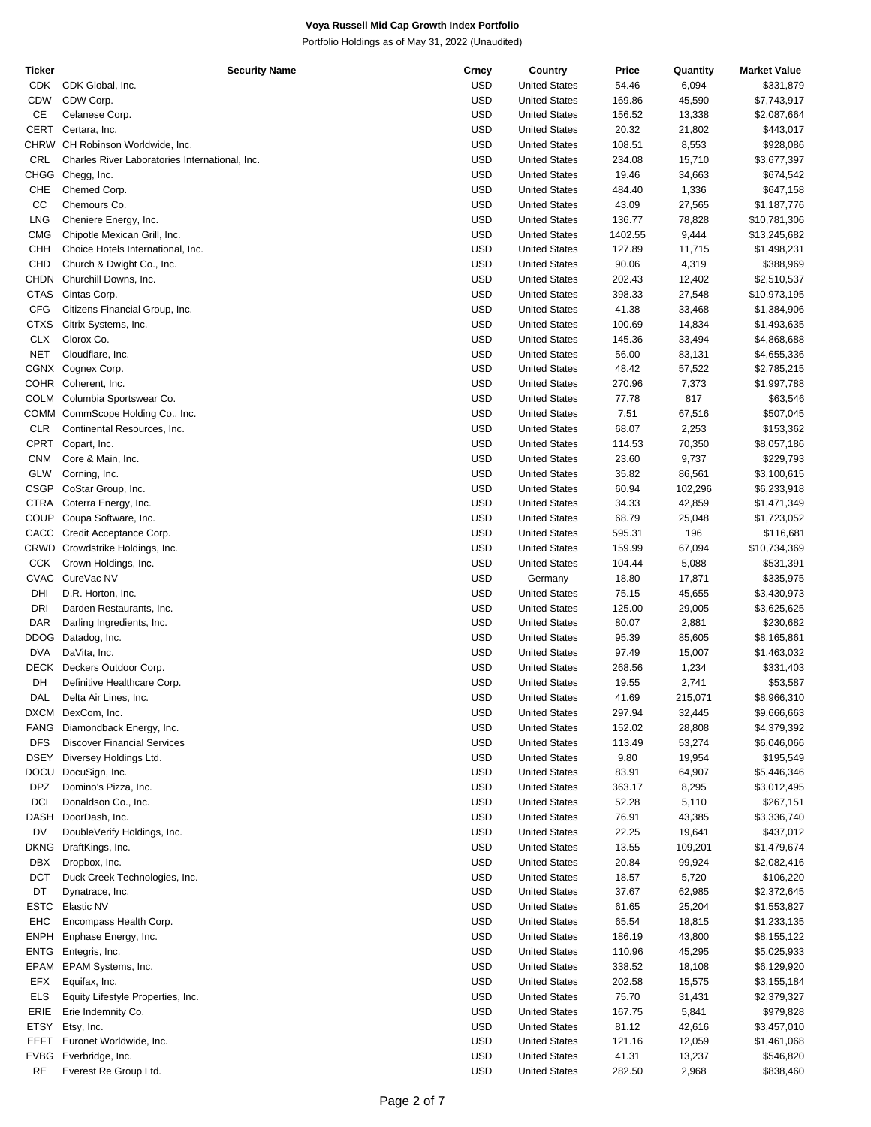| Ticker      | <b>Security Name</b>                           | Crncy      | Country              | Price   | Quantity | <b>Market Value</b> |
|-------------|------------------------------------------------|------------|----------------------|---------|----------|---------------------|
| <b>CDK</b>  | CDK Global, Inc.                               | USD        | <b>United States</b> | 54.46   | 6,094    | \$331,879           |
| <b>CDW</b>  | CDW Corp.                                      | <b>USD</b> | <b>United States</b> | 169.86  | 45,590   | \$7,743,917         |
| CE          | Celanese Corp.                                 | USD        | <b>United States</b> | 156.52  | 13,338   | \$2,087,664         |
| CERT        | Certara, Inc.                                  | <b>USD</b> | <b>United States</b> | 20.32   | 21,802   | \$443,017           |
|             | CHRW CH Robinson Worldwide, Inc.               | USD        | <b>United States</b> | 108.51  | 8,553    | \$928,086           |
| CRL         | Charles River Laboratories International, Inc. | <b>USD</b> | <b>United States</b> | 234.08  | 15,710   | \$3,677,397         |
| CHGG        | Chegg, Inc.                                    | USD        | <b>United States</b> | 19.46   | 34,663   | \$674,542           |
| CHE         | Chemed Corp.                                   | <b>USD</b> | <b>United States</b> | 484.40  | 1,336    | \$647,158           |
| CC          |                                                | USD        |                      |         |          |                     |
|             | Chemours Co.                                   |            | <b>United States</b> | 43.09   | 27,565   | \$1,187,776         |
| <b>LNG</b>  | Cheniere Energy, Inc.                          | <b>USD</b> | <b>United States</b> | 136.77  | 78,828   | \$10,781,306        |
| <b>CMG</b>  | Chipotle Mexican Grill, Inc.                   | USD        | <b>United States</b> | 1402.55 | 9,444    | \$13,245,682        |
| CHH         | Choice Hotels International, Inc.              | <b>USD</b> | <b>United States</b> | 127.89  | 11,715   | \$1,498,231         |
| CHD         | Church & Dwight Co., Inc.                      | USD        | <b>United States</b> | 90.06   | 4,319    | \$388,969           |
| CHDN        | Churchill Downs, Inc.                          | <b>USD</b> | <b>United States</b> | 202.43  | 12,402   | \$2,510,537         |
| <b>CTAS</b> | Cintas Corp.                                   | USD        | <b>United States</b> | 398.33  | 27,548   | \$10,973,195        |
| <b>CFG</b>  | Citizens Financial Group, Inc.                 | <b>USD</b> | <b>United States</b> | 41.38   | 33,468   | \$1,384,906         |
| <b>CTXS</b> | Citrix Systems, Inc.                           | USD        | <b>United States</b> | 100.69  | 14,834   | \$1,493,635         |
| <b>CLX</b>  | Clorox Co.                                     | <b>USD</b> | <b>United States</b> | 145.36  | 33,494   | \$4,868,688         |
| <b>NET</b>  | Cloudflare, Inc.                               | USD        | <b>United States</b> | 56.00   | 83,131   | \$4,655,336         |
|             |                                                |            | <b>United States</b> |         |          |                     |
|             | CGNX Cognex Corp.                              | <b>USD</b> |                      | 48.42   | 57,522   | \$2,785,215         |
|             | COHR Coherent, Inc.                            | USD        | <b>United States</b> | 270.96  | 7,373    | \$1,997,788         |
| <b>COLM</b> | Columbia Sportswear Co.                        | <b>USD</b> | <b>United States</b> | 77.78   | 817      | \$63,546            |
| COMM        | CommScope Holding Co., Inc.                    | USD        | <b>United States</b> | 7.51    | 67,516   | \$507,045           |
| <b>CLR</b>  | Continental Resources, Inc.                    | <b>USD</b> | <b>United States</b> | 68.07   | 2,253    | \$153,362           |
| <b>CPRT</b> | Copart, Inc.                                   | USD        | <b>United States</b> | 114.53  | 70,350   | \$8,057,186         |
| <b>CNM</b>  | Core & Main, Inc.                              | <b>USD</b> | <b>United States</b> | 23.60   | 9,737    | \$229,793           |
| GLW         | Corning, Inc.                                  | USD        | <b>United States</b> | 35.82   | 86,561   | \$3,100,615         |
| CSGP        | CoStar Group, Inc.                             | <b>USD</b> | <b>United States</b> | 60.94   | 102,296  | \$6,233,918         |
| CTRA        | Coterra Energy, Inc.                           | USD        | <b>United States</b> | 34.33   |          |                     |
|             |                                                |            |                      |         | 42,859   | \$1,471,349         |
| COUP        | Coupa Software, Inc.                           | <b>USD</b> | <b>United States</b> | 68.79   | 25,048   | \$1,723,052         |
| CACC        | Credit Acceptance Corp.                        | USD        | <b>United States</b> | 595.31  | 196      | \$116,681           |
| CRWD        | Crowdstrike Holdings, Inc.                     | <b>USD</b> | <b>United States</b> | 159.99  | 67,094   | \$10,734,369        |
| <b>CCK</b>  | Crown Holdings, Inc.                           | USD        | <b>United States</b> | 104.44  | 5,088    | \$531,391           |
| <b>CVAC</b> | CureVac NV                                     | <b>USD</b> | Germany              | 18.80   | 17,871   | \$335,975           |
| DHI         | D.R. Horton, Inc.                              | <b>USD</b> | <b>United States</b> | 75.15   | 45,655   | \$3,430,973         |
| DRI         | Darden Restaurants, Inc.                       | <b>USD</b> | <b>United States</b> | 125.00  | 29,005   | \$3,625,625         |
| <b>DAR</b>  | Darling Ingredients, Inc.                      | USD        | <b>United States</b> | 80.07   | 2,881    | \$230,682           |
| DDOG        | Datadog, Inc.                                  | <b>USD</b> | <b>United States</b> | 95.39   | 85,605   | \$8,165,861         |
| <b>DVA</b>  | DaVita, Inc.                                   | USD        | <b>United States</b> |         |          |                     |
|             |                                                |            |                      | 97.49   | 15,007   | \$1,463,032         |
| DECK        | Deckers Outdoor Corp.                          | <b>USD</b> | <b>United States</b> | 268.56  | 1,234    | \$331,403           |
| DH          | Definitive Healthcare Corp.                    | USD        | <b>United States</b> | 19.55   | 2,741    | \$53,587            |
| DAL         | Delta Air Lines, Inc.                          | <b>USD</b> | <b>United States</b> | 41.69   | 215,071  | \$8,966,310         |
|             | DXCM DexCom, Inc.                              | USD        | <b>United States</b> | 297.94  | 32,445   | \$9,666,663         |
| FANG        | Diamondback Energy, Inc.                       | <b>USD</b> | <b>United States</b> | 152.02  | 28,808   | \$4,379,392         |
| <b>DFS</b>  | <b>Discover Financial Services</b>             | <b>USD</b> | <b>United States</b> | 113.49  | 53,274   | \$6,046,066         |
| <b>DSEY</b> | Diversey Holdings Ltd.                         | <b>USD</b> | <b>United States</b> | 9.80    | 19,954   | \$195,549           |
| DOCU        | DocuSign, Inc.                                 | <b>USD</b> | <b>United States</b> | 83.91   | 64,907   | \$5,446,346         |
| <b>DPZ</b>  | Domino's Pizza, Inc.                           | <b>USD</b> | <b>United States</b> | 363.17  | 8,295    | \$3,012,495         |
| DCI         | Donaldson Co., Inc.                            | <b>USD</b> | <b>United States</b> | 52.28   | 5,110    | \$267,151           |
| DASH        | DoorDash, Inc.                                 | <b>USD</b> | <b>United States</b> | 76.91   | 43,385   | \$3,336,740         |
| DV          |                                                | <b>USD</b> |                      | 22.25   |          | \$437,012           |
|             | DoubleVerify Holdings, Inc.                    |            | <b>United States</b> |         | 19,641   |                     |
| DKNG        | DraftKings, Inc.                               | <b>USD</b> | <b>United States</b> | 13.55   | 109,201  | \$1,479,674         |
| DBX         | Dropbox, Inc.                                  | <b>USD</b> | <b>United States</b> | 20.84   | 99,924   | \$2,082,416         |
| DCT         | Duck Creek Technologies, Inc.                  | <b>USD</b> | <b>United States</b> | 18.57   | 5,720    | \$106,220           |
| DT          | Dynatrace, Inc.                                | <b>USD</b> | <b>United States</b> | 37.67   | 62,985   | \$2,372,645         |
| ESTC        | Elastic NV                                     | <b>USD</b> | <b>United States</b> | 61.65   | 25,204   | \$1,553,827         |
| EHC         | Encompass Health Corp.                         | <b>USD</b> | <b>United States</b> | 65.54   | 18,815   | \$1,233,135         |
| <b>ENPH</b> | Enphase Energy, Inc.                           | <b>USD</b> | <b>United States</b> | 186.19  | 43,800   | \$8,155,122         |
| ENTG        | Entegris, Inc.                                 | <b>USD</b> | <b>United States</b> | 110.96  | 45,295   | \$5,025,933         |
| EPAM        | EPAM Systems, Inc.                             | <b>USD</b> | <b>United States</b> | 338.52  | 18,108   | \$6,129,920         |
|             |                                                |            |                      |         |          |                     |
| EFX         | Equifax, Inc.                                  | <b>USD</b> | <b>United States</b> | 202.58  | 15,575   | \$3,155,184         |
| <b>ELS</b>  | Equity Lifestyle Properties, Inc.              | <b>USD</b> | <b>United States</b> | 75.70   | 31,431   | \$2,379,327         |
| ERIE        | Erie Indemnity Co.                             | <b>USD</b> | <b>United States</b> | 167.75  | 5,841    | \$979,828           |
| ETSY        | Etsy, Inc.                                     | <b>USD</b> | <b>United States</b> | 81.12   | 42,616   | \$3,457,010         |
| EEFT        | Euronet Worldwide, Inc.                        | USD        | <b>United States</b> | 121.16  | 12,059   | \$1,461,068         |
| EVBG        | Everbridge, Inc.                               | <b>USD</b> | <b>United States</b> | 41.31   | 13,237   | \$546,820           |
| <b>RE</b>   | Everest Re Group Ltd.                          | USD        | <b>United States</b> | 282.50  | 2,968    | \$838,460           |
|             |                                                |            |                      |         |          |                     |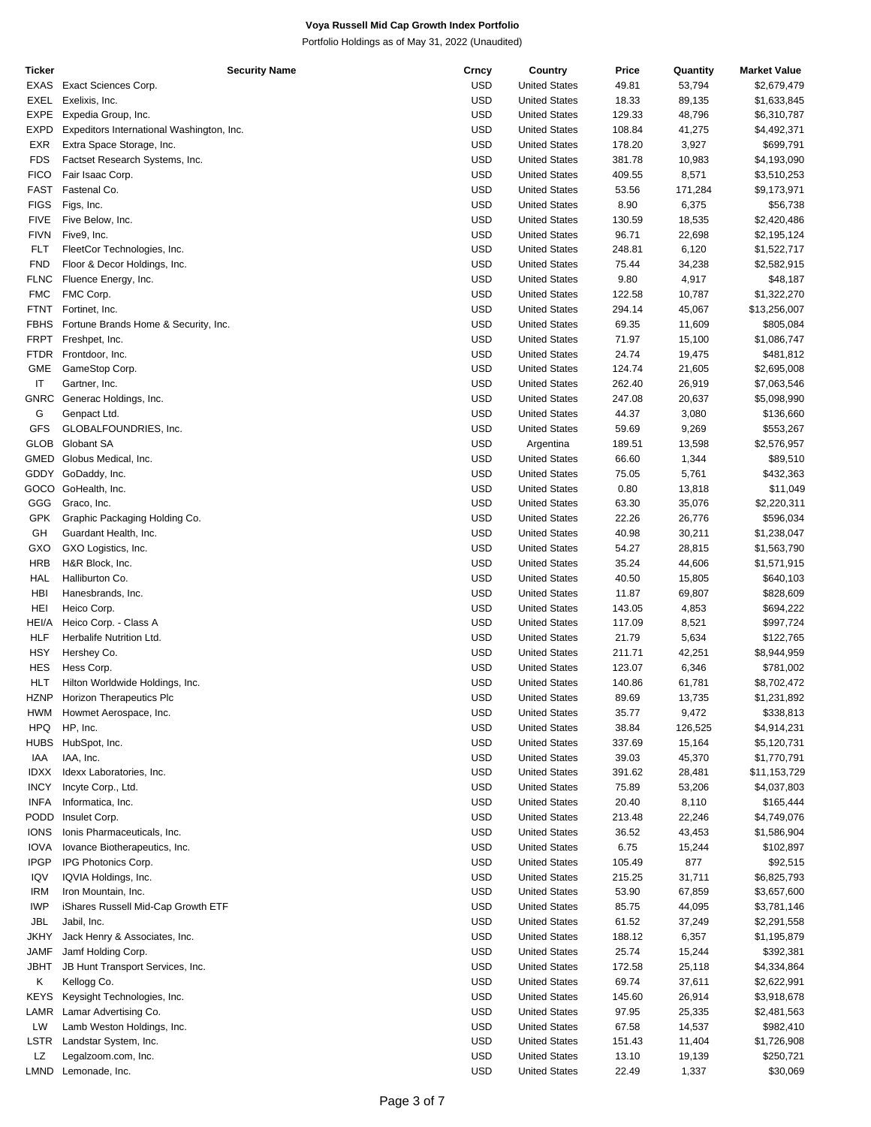| Ticker      | <b>Security Name</b>                      | Crncy      | Country              | Price  | Quantity | <b>Market Value</b> |
|-------------|-------------------------------------------|------------|----------------------|--------|----------|---------------------|
| EXAS        | Exact Sciences Corp.                      | <b>USD</b> | <b>United States</b> | 49.81  | 53,794   | \$2,679,479         |
| EXEL        | Exelixis, Inc.                            | <b>USD</b> | <b>United States</b> | 18.33  | 89,135   | \$1,633,845         |
| <b>EXPE</b> | Expedia Group, Inc.                       | <b>USD</b> | <b>United States</b> | 129.33 | 48,796   | \$6,310,787         |
| EXPD        | Expeditors International Washington, Inc. | <b>USD</b> | <b>United States</b> | 108.84 | 41,275   | \$4,492,371         |
| EXR         | Extra Space Storage, Inc.                 | <b>USD</b> | <b>United States</b> | 178.20 | 3,927    | \$699,791           |
| <b>FDS</b>  | Factset Research Systems, Inc.            | <b>USD</b> | <b>United States</b> | 381.78 | 10,983   | \$4,193,090         |
| <b>FICO</b> | Fair Isaac Corp.                          | <b>USD</b> | <b>United States</b> | 409.55 | 8,571    | \$3,510,253         |
| FAST        | Fastenal Co.                              | <b>USD</b> | <b>United States</b> | 53.56  | 171,284  | \$9,173,971         |
|             |                                           |            |                      |        |          |                     |
| <b>FIGS</b> | Figs, Inc.                                | <b>USD</b> | <b>United States</b> | 8.90   | 6,375    | \$56,738            |
| <b>FIVE</b> | Five Below, Inc.                          | <b>USD</b> | <b>United States</b> | 130.59 | 18,535   | \$2,420,486         |
| <b>FIVN</b> | Five9, Inc.                               | <b>USD</b> | <b>United States</b> | 96.71  | 22,698   | \$2,195,124         |
| FLT         | FleetCor Technologies, Inc.               | <b>USD</b> | <b>United States</b> | 248.81 | 6,120    | \$1,522,717         |
| <b>FND</b>  | Floor & Decor Holdings, Inc.              | <b>USD</b> | <b>United States</b> | 75.44  | 34,238   | \$2,582,915         |
| <b>FLNC</b> | Fluence Energy, Inc.                      | <b>USD</b> | <b>United States</b> | 9.80   | 4,917    | \$48,187            |
| <b>FMC</b>  | FMC Corp.                                 | <b>USD</b> | <b>United States</b> | 122.58 | 10,787   | \$1,322,270         |
| FTNT        | Fortinet, Inc.                            | <b>USD</b> | <b>United States</b> | 294.14 | 45,067   | \$13,256,007        |
| <b>FBHS</b> | Fortune Brands Home & Security, Inc.      | <b>USD</b> | <b>United States</b> | 69.35  | 11,609   | \$805,084           |
| <b>FRPT</b> | Freshpet, Inc.                            | <b>USD</b> | <b>United States</b> | 71.97  | 15,100   | \$1,086,747         |
| FTDR        | Frontdoor, Inc.                           | <b>USD</b> | <b>United States</b> | 24.74  | 19,475   | \$481,812           |
| GME         | GameStop Corp.                            | <b>USD</b> | <b>United States</b> | 124.74 | 21,605   | \$2,695,008         |
| IT          | Gartner, Inc.                             | <b>USD</b> | <b>United States</b> | 262.40 |          | \$7,063,546         |
|             |                                           |            |                      |        | 26,919   |                     |
| GNRC        | Generac Holdings, Inc.                    | <b>USD</b> | <b>United States</b> | 247.08 | 20,637   | \$5,098,990         |
| G           | Genpact Ltd.                              | <b>USD</b> | <b>United States</b> | 44.37  | 3,080    | \$136,660           |
| <b>GFS</b>  | GLOBALFOUNDRIES, Inc.                     | <b>USD</b> | <b>United States</b> | 59.69  | 9,269    | \$553,267           |
| <b>GLOB</b> | Globant SA                                | <b>USD</b> | Argentina            | 189.51 | 13,598   | \$2,576,957         |
| GMED        | Globus Medical, Inc.                      | <b>USD</b> | <b>United States</b> | 66.60  | 1,344    | \$89,510            |
|             | GDDY GoDaddy, Inc.                        | <b>USD</b> | <b>United States</b> | 75.05  | 5,761    | \$432,363           |
|             | GOCO GoHealth, Inc.                       | <b>USD</b> | <b>United States</b> | 0.80   | 13,818   | \$11,049            |
| GGG         | Graco, Inc.                               | <b>USD</b> | <b>United States</b> | 63.30  | 35,076   | \$2,220,311         |
| GPK         | Graphic Packaging Holding Co.             | <b>USD</b> | <b>United States</b> | 22.26  | 26,776   | \$596,034           |
| GH          | Guardant Health, Inc.                     | <b>USD</b> | <b>United States</b> | 40.98  | 30,211   | \$1,238,047         |
| GXO         | GXO Logistics, Inc.                       | <b>USD</b> | <b>United States</b> | 54.27  | 28,815   | \$1,563,790         |
| HRB         | H&R Block, Inc.                           | <b>USD</b> | <b>United States</b> | 35.24  | 44,606   | \$1,571,915         |
|             |                                           |            |                      |        |          |                     |
| HAL         | Halliburton Co.                           | <b>USD</b> | <b>United States</b> | 40.50  | 15,805   | \$640,103           |
| HBI         | Hanesbrands, Inc.                         | <b>USD</b> | <b>United States</b> | 11.87  | 69,807   | \$828,609           |
| HEI         | Heico Corp.                               | <b>USD</b> | <b>United States</b> | 143.05 | 4,853    | \$694,222           |
| HEI/A       | Heico Corp. - Class A                     | <b>USD</b> | <b>United States</b> | 117.09 | 8,521    | \$997,724           |
| <b>HLF</b>  | Herbalife Nutrition Ltd.                  | <b>USD</b> | <b>United States</b> | 21.79  | 5,634    | \$122,765           |
| HSY         | Hershey Co.                               | <b>USD</b> | <b>United States</b> | 211.71 | 42,251   | \$8,944,959         |
| <b>HES</b>  | Hess Corp.                                | <b>USD</b> | <b>United States</b> | 123.07 | 6,346    | \$781,002           |
| HLT         | Hilton Worldwide Holdings, Inc.           | <b>USD</b> | <b>United States</b> | 140.86 | 61,781   | \$8,702,472         |
| <b>HZNP</b> | <b>Horizon Therapeutics Plc</b>           | <b>USD</b> | <b>United States</b> | 89.69  | 13,735   | \$1,231,892         |
| HWM         | Howmet Aerospace, Inc.                    | <b>USD</b> | <b>United States</b> | 35.77  | 9,472    | \$338,813           |
| <b>HPQ</b>  | HP, Inc.                                  | <b>USD</b> | <b>United States</b> | 38.84  | 126,525  | \$4,914,231         |
| <b>HUBS</b> | HubSpot, Inc.                             | <b>USD</b> | <b>United States</b> | 337.69 | 15,164   | \$5,120,731         |
|             |                                           | <b>USD</b> |                      |        |          |                     |
| IAA         | IAA, Inc.                                 |            | <b>United States</b> | 39.03  | 45,370   | \$1,770,791         |
| <b>IDXX</b> | Idexx Laboratories, Inc.                  | <b>USD</b> | <b>United States</b> | 391.62 | 28,481   | \$11,153,729        |
| <b>INCY</b> | Incyte Corp., Ltd.                        | <b>USD</b> | <b>United States</b> | 75.89  | 53,206   | \$4,037,803         |
| <b>INFA</b> | Informatica, Inc.                         | <b>USD</b> | <b>United States</b> | 20.40  | 8,110    | \$165,444           |
| PODD        | Insulet Corp.                             | <b>USD</b> | <b>United States</b> | 213.48 | 22,246   | \$4,749,076         |
| <b>IONS</b> | Ionis Pharmaceuticals, Inc.               | <b>USD</b> | <b>United States</b> | 36.52  | 43,453   | \$1,586,904         |
| <b>IOVA</b> | lovance Biotherapeutics, Inc.             | <b>USD</b> | <b>United States</b> | 6.75   | 15,244   | \$102,897           |
| <b>IPGP</b> | IPG Photonics Corp.                       | <b>USD</b> | <b>United States</b> | 105.49 | 877      | \$92,515            |
| IQV         | IQVIA Holdings, Inc.                      | <b>USD</b> | <b>United States</b> | 215.25 | 31,711   | \$6,825,793         |
| IRM         | Iron Mountain, Inc.                       | <b>USD</b> | <b>United States</b> | 53.90  | 67,859   | \$3,657,600         |
| <b>IWP</b>  | iShares Russell Mid-Cap Growth ETF        | <b>USD</b> | <b>United States</b> | 85.75  | 44,095   | \$3,781,146         |
| JBL         | Jabil, Inc.                               | <b>USD</b> | <b>United States</b> | 61.52  | 37,249   | \$2,291,558         |
| <b>JKHY</b> |                                           | <b>USD</b> | <b>United States</b> |        |          |                     |
|             | Jack Henry & Associates, Inc.             |            |                      | 188.12 | 6,357    | \$1,195,879         |
| JAMF        | Jamf Holding Corp.                        | <b>USD</b> | <b>United States</b> | 25.74  | 15,244   | \$392,381           |
| JBHT        | JB Hunt Transport Services, Inc.          | <b>USD</b> | <b>United States</b> | 172.58 | 25,118   | \$4,334,864         |
| Κ           | Kellogg Co.                               | <b>USD</b> | <b>United States</b> | 69.74  | 37,611   | \$2,622,991         |
| <b>KEYS</b> | Keysight Technologies, Inc.               | <b>USD</b> | <b>United States</b> | 145.60 | 26,914   | \$3,918,678         |
| LAMR        | Lamar Advertising Co.                     | <b>USD</b> | <b>United States</b> | 97.95  | 25,335   | \$2,481,563         |
| LW          | Lamb Weston Holdings, Inc.                | <b>USD</b> | <b>United States</b> | 67.58  | 14,537   | \$982,410           |
| LSTR        | Landstar System, Inc.                     | <b>USD</b> | <b>United States</b> | 151.43 | 11,404   | \$1,726,908         |
| <b>LZ</b>   | Legalzoom.com, Inc.                       | <b>USD</b> | <b>United States</b> | 13.10  | 19,139   | \$250,721           |
| LMND        | Lemonade, Inc.                            | <b>USD</b> | <b>United States</b> | 22.49  | 1,337    | \$30,069            |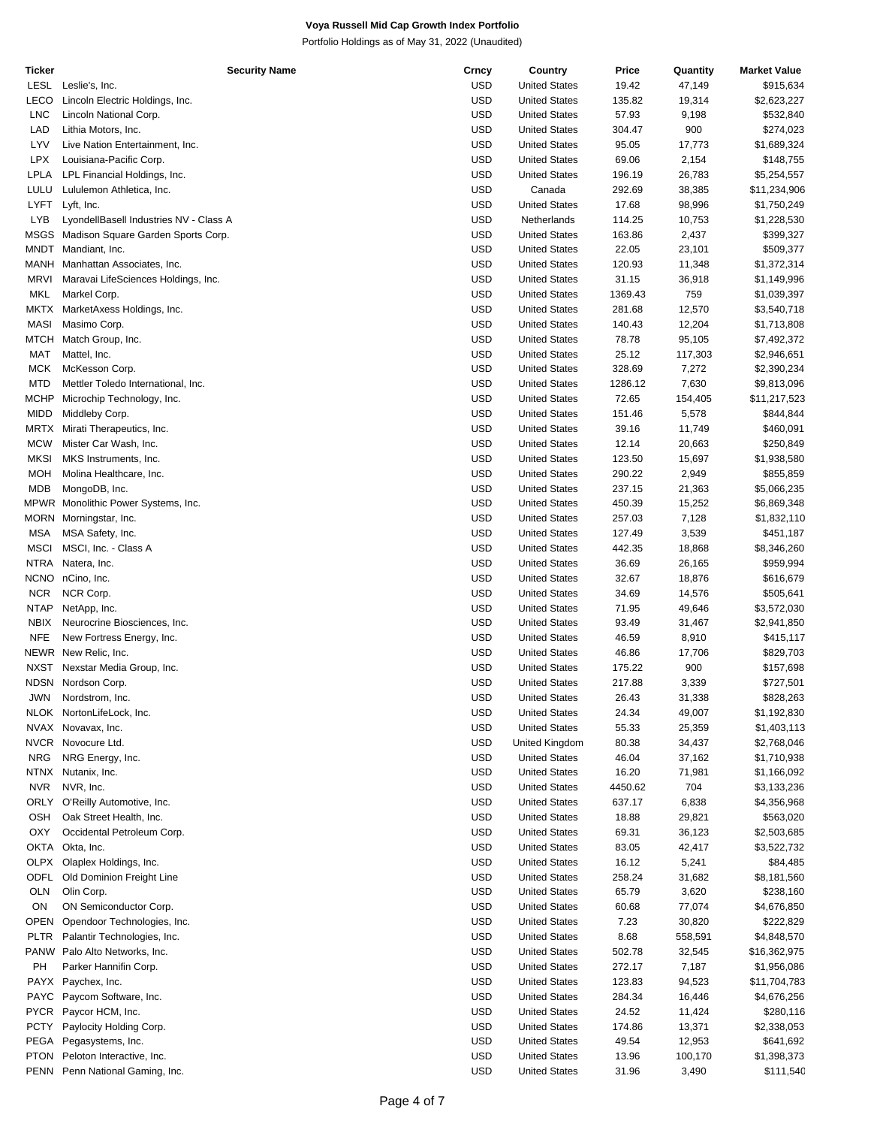| Ticker      | <b>Security Name</b>                    | Crncy      | Country              | Price   | Quantity | <b>Market Value</b> |
|-------------|-----------------------------------------|------------|----------------------|---------|----------|---------------------|
| LESL        | Leslie's, Inc.                          | <b>USD</b> | <b>United States</b> | 19.42   | 47,149   | \$915,634           |
| LECO        | Lincoln Electric Holdings, Inc.         | <b>USD</b> | <b>United States</b> | 135.82  | 19,314   | \$2,623,227         |
| <b>LNC</b>  | Lincoln National Corp.                  | <b>USD</b> | <b>United States</b> | 57.93   | 9,198    | \$532,840           |
| LAD         | Lithia Motors, Inc.                     | <b>USD</b> | <b>United States</b> | 304.47  | 900      | \$274,023           |
|             |                                         |            |                      |         |          |                     |
| LYV         | Live Nation Entertainment, Inc.         | <b>USD</b> | <b>United States</b> | 95.05   | 17,773   | \$1,689,324         |
| <b>LPX</b>  | Louisiana-Pacific Corp.                 | <b>USD</b> | <b>United States</b> | 69.06   | 2,154    | \$148,755           |
| LPLA        | LPL Financial Holdings, Inc.            | <b>USD</b> | <b>United States</b> | 196.19  | 26,783   | \$5,254,557         |
| LULU        | Lululemon Athletica, Inc.               | <b>USD</b> | Canada               | 292.69  | 38,385   | \$11,234,906        |
| LYFT        | Lyft, Inc.                              | <b>USD</b> | <b>United States</b> | 17.68   | 98,996   | \$1,750,249         |
| <b>LYB</b>  | LyondellBasell Industries NV - Class A  | <b>USD</b> | Netherlands          | 114.25  | 10,753   | \$1,228,530         |
|             | MSGS Madison Square Garden Sports Corp. | <b>USD</b> | <b>United States</b> | 163.86  | 2,437    | \$399,327           |
|             |                                         |            |                      |         |          |                     |
| MNDT        | Mandiant, Inc.                          | <b>USD</b> | <b>United States</b> | 22.05   | 23,101   | \$509,377           |
| MANH        | Manhattan Associates, Inc.              | <b>USD</b> | <b>United States</b> | 120.93  | 11,348   | \$1,372,314         |
| <b>MRVI</b> | Maravai LifeSciences Holdings, Inc.     | <b>USD</b> | <b>United States</b> | 31.15   | 36,918   | \$1,149,996         |
| MKL         | Markel Corp.                            | <b>USD</b> | <b>United States</b> | 1369.43 | 759      | \$1,039,397         |
| <b>MKTX</b> | MarketAxess Holdings, Inc.              | <b>USD</b> | <b>United States</b> | 281.68  | 12,570   | \$3,540,718         |
| MASI        | Masimo Corp.                            | <b>USD</b> | <b>United States</b> | 140.43  | 12,204   | \$1,713,808         |
|             |                                         |            |                      |         |          |                     |
| MTCH        | Match Group, Inc.                       | <b>USD</b> | <b>United States</b> | 78.78   | 95,105   | \$7,492,372         |
| MAT         | Mattel, Inc.                            | <b>USD</b> | <b>United States</b> | 25.12   | 117,303  | \$2,946,651         |
| <b>MCK</b>  | McKesson Corp.                          | <b>USD</b> | <b>United States</b> | 328.69  | 7,272    | \$2,390,234         |
| <b>MTD</b>  | Mettler Toledo International, Inc.      | <b>USD</b> | <b>United States</b> | 1286.12 | 7,630    | \$9,813,096         |
| MCHP        | Microchip Technology, Inc.              | <b>USD</b> | <b>United States</b> | 72.65   | 154,405  | \$11,217,523        |
| <b>MIDD</b> | Middleby Corp.                          | <b>USD</b> | <b>United States</b> | 151.46  | 5,578    | \$844,844           |
| <b>MRTX</b> |                                         | <b>USD</b> | <b>United States</b> | 39.16   |          | \$460,091           |
|             | Mirati Therapeutics, Inc.               |            |                      |         | 11,749   |                     |
| <b>MCW</b>  | Mister Car Wash, Inc.                   | <b>USD</b> | <b>United States</b> | 12.14   | 20,663   | \$250,849           |
| <b>MKSI</b> | MKS Instruments, Inc.                   | <b>USD</b> | <b>United States</b> | 123.50  | 15,697   | \$1,938,580         |
| MOH         | Molina Healthcare, Inc.                 | <b>USD</b> | <b>United States</b> | 290.22  | 2,949    | \$855,859           |
| MDB         | MongoDB, Inc.                           | <b>USD</b> | <b>United States</b> | 237.15  | 21,363   | \$5,066,235         |
|             | MPWR Monolithic Power Systems, Inc.     | <b>USD</b> | <b>United States</b> | 450.39  | 15,252   | \$6,869,348         |
|             | MORN Morningstar, Inc.                  | <b>USD</b> | <b>United States</b> | 257.03  | 7,128    | \$1,832,110         |
|             |                                         |            |                      |         |          |                     |
| <b>MSA</b>  | MSA Safety, Inc.                        | <b>USD</b> | <b>United States</b> | 127.49  | 3,539    | \$451,187           |
| <b>MSCI</b> | MSCI, Inc. - Class A                    | <b>USD</b> | <b>United States</b> | 442.35  | 18,868   | \$8,346,260         |
| <b>NTRA</b> | Natera, Inc.                            | <b>USD</b> | <b>United States</b> | 36.69   | 26,165   | \$959,994           |
|             | NCNO nCino, Inc.                        | <b>USD</b> | <b>United States</b> | 32.67   | 18,876   | \$616,679           |
| <b>NCR</b>  | NCR Corp.                               | <b>USD</b> | <b>United States</b> | 34.69   | 14,576   | \$505,641           |
| <b>NTAP</b> | NetApp, Inc.                            | <b>USD</b> | <b>United States</b> | 71.95   | 49,646   | \$3,572,030         |
|             |                                         |            |                      |         |          |                     |
| <b>NBIX</b> | Neurocrine Biosciences, Inc.            | <b>USD</b> | <b>United States</b> | 93.49   | 31,467   | \$2,941,850         |
| <b>NFE</b>  | New Fortress Energy, Inc.               | <b>USD</b> | <b>United States</b> | 46.59   | 8,910    | \$415,117           |
| NEWR        | New Relic, Inc.                         | <b>USD</b> | <b>United States</b> | 46.86   | 17,706   | \$829,703           |
| <b>NXST</b> | Nexstar Media Group, Inc.               | <b>USD</b> | <b>United States</b> | 175.22  | 900      | \$157,698           |
| <b>NDSN</b> | Nordson Corp.                           | <b>USD</b> | <b>United States</b> | 217.88  | 3,339    | \$727,501           |
| <b>JWN</b>  | Nordstrom, Inc.                         | <b>USD</b> | <b>United States</b> | 26.43   | 31,338   | \$828,263           |
|             | NLOK NortonLifeLock, Inc.               | <b>USD</b> |                      |         |          |                     |
|             |                                         |            | <b>United States</b> | 24.34   | 49,007   | \$1,192,830         |
|             | NVAX Novavax, Inc.                      | <b>USD</b> | <b>United States</b> | 55.33   | 25,359   | \$1,403,113         |
| NVCR        | Novocure Ltd.                           | <b>USD</b> | United Kingdom       | 80.38   | 34,437   | \$2,768,046         |
| <b>NRG</b>  | NRG Energy, Inc.                        | <b>USD</b> | <b>United States</b> | 46.04   | 37,162   | \$1,710,938         |
| <b>NTNX</b> | Nutanix, Inc.                           | <b>USD</b> | <b>United States</b> | 16.20   | 71,981   | \$1,166,092         |
| <b>NVR</b>  | NVR, Inc.                               | <b>USD</b> | <b>United States</b> | 4450.62 | 704      | \$3,133,236         |
| <b>ORLY</b> | O'Reilly Automotive, Inc.               | <b>USD</b> | <b>United States</b> | 637.17  | 6,838    | \$4,356,968         |
|             |                                         |            |                      |         |          |                     |
| <b>OSH</b>  | Oak Street Health, Inc.                 | <b>USD</b> | <b>United States</b> | 18.88   | 29,821   | \$563,020           |
| <b>OXY</b>  | Occidental Petroleum Corp.              | <b>USD</b> | <b>United States</b> | 69.31   | 36,123   | \$2,503,685         |
| OKTA        | Okta, Inc.                              | <b>USD</b> | <b>United States</b> | 83.05   | 42,417   | \$3,522,732         |
| <b>OLPX</b> | Olaplex Holdings, Inc.                  | <b>USD</b> | <b>United States</b> | 16.12   | 5,241    | \$84,485            |
| <b>ODFL</b> | Old Dominion Freight Line               | <b>USD</b> | <b>United States</b> | 258.24  | 31,682   | \$8,181,560         |
| <b>OLN</b>  | Olin Corp.                              | <b>USD</b> | <b>United States</b> | 65.79   | 3,620    | \$238,160           |
|             |                                         |            |                      |         |          |                     |
| ON          | ON Semiconductor Corp.                  | <b>USD</b> | <b>United States</b> | 60.68   | 77,074   | \$4,676,850         |
| <b>OPEN</b> | Opendoor Technologies, Inc.             | <b>USD</b> | <b>United States</b> | 7.23    | 30,820   | \$222,829           |
| <b>PLTR</b> | Palantir Technologies, Inc.             | <b>USD</b> | <b>United States</b> | 8.68    | 558,591  | \$4,848,570         |
| <b>PANW</b> | Palo Alto Networks, Inc.                | <b>USD</b> | <b>United States</b> | 502.78  | 32,545   | \$16,362,975        |
| PH          | Parker Hannifin Corp.                   | <b>USD</b> | <b>United States</b> | 272.17  | 7,187    | \$1,956,086         |
|             | PAYX Paychex, Inc.                      | <b>USD</b> | <b>United States</b> | 123.83  | 94,523   | \$11,704,783        |
|             |                                         |            |                      |         |          |                     |
| <b>PAYC</b> | Paycom Software, Inc.                   | <b>USD</b> | <b>United States</b> | 284.34  | 16,446   | \$4,676,256         |
| <b>PYCR</b> | Paycor HCM, Inc.                        | <b>USD</b> | <b>United States</b> | 24.52   | 11,424   | \$280,116           |
| <b>PCTY</b> | Paylocity Holding Corp.                 | <b>USD</b> | <b>United States</b> | 174.86  | 13,371   | \$2,338,053         |
| PEGA        | Pegasystems, Inc.                       | <b>USD</b> | <b>United States</b> | 49.54   | 12,953   | \$641,692           |
| <b>PTON</b> | Peloton Interactive, Inc.               | <b>USD</b> | <b>United States</b> | 13.96   | 100,170  | \$1,398,373         |
|             | PENN Penn National Gaming, Inc.         | <b>USD</b> | <b>United States</b> | 31.96   | 3,490    | \$111,540           |
|             |                                         |            |                      |         |          |                     |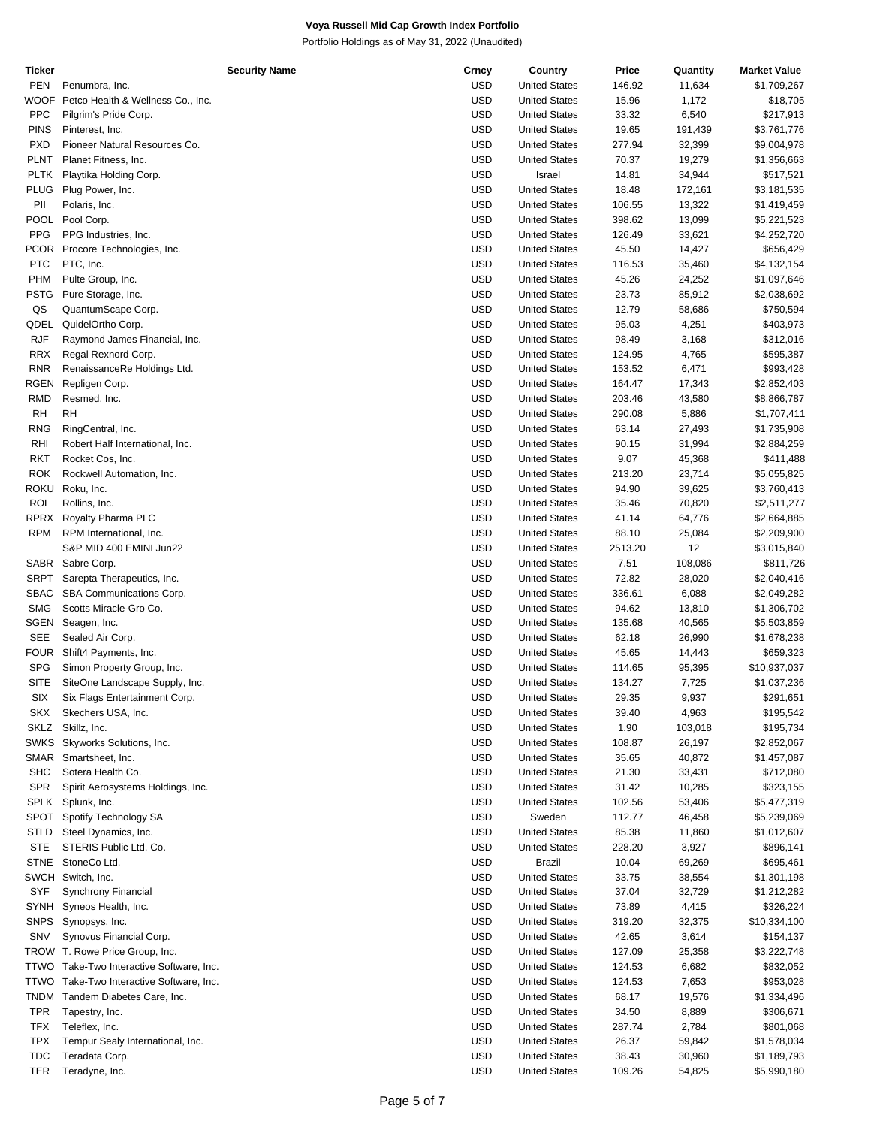| Ticker      |                                          | <b>Security Name</b> | Crncy      | Country              | Price   | Quantity | <b>Market Value</b> |
|-------------|------------------------------------------|----------------------|------------|----------------------|---------|----------|---------------------|
| <b>PEN</b>  | Penumbra, Inc.                           |                      | <b>USD</b> | <b>United States</b> | 146.92  | 11,634   | \$1,709,267         |
| WOOF        | Petco Health & Wellness Co., Inc.        |                      | <b>USD</b> | <b>United States</b> | 15.96   | 1,172    | \$18,705            |
| <b>PPC</b>  | Pilgrim's Pride Corp.                    |                      | <b>USD</b> | <b>United States</b> | 33.32   | 6,540    | \$217,913           |
|             |                                          |                      |            |                      |         |          |                     |
| <b>PINS</b> | Pinterest, Inc.                          |                      | <b>USD</b> | <b>United States</b> | 19.65   | 191,439  | \$3,761,776         |
| <b>PXD</b>  | Pioneer Natural Resources Co.            |                      | <b>USD</b> | <b>United States</b> | 277.94  | 32,399   | \$9,004,978         |
| <b>PLNT</b> | Planet Fitness, Inc.                     |                      | <b>USD</b> | <b>United States</b> | 70.37   | 19,279   | \$1,356,663         |
| <b>PLTK</b> | Playtika Holding Corp.                   |                      | <b>USD</b> | Israel               | 14.81   | 34,944   | \$517,521           |
| <b>PLUG</b> | Plug Power, Inc.                         |                      | <b>USD</b> | <b>United States</b> | 18.48   | 172,161  | \$3,181,535         |
| PII         | Polaris, Inc.                            |                      | <b>USD</b> | <b>United States</b> | 106.55  | 13,322   | \$1,419,459         |
| <b>POOL</b> | Pool Corp.                               |                      | <b>USD</b> | <b>United States</b> | 398.62  | 13,099   | \$5,221,523         |
|             |                                          |                      |            |                      |         |          |                     |
| <b>PPG</b>  | PPG Industries, Inc.                     |                      | <b>USD</b> | <b>United States</b> | 126.49  | 33,621   | \$4,252,720         |
| PCOR        | Procore Technologies, Inc.               |                      | <b>USD</b> | <b>United States</b> | 45.50   | 14,427   | \$656,429           |
| <b>PTC</b>  | PTC, Inc.                                |                      | <b>USD</b> | <b>United States</b> | 116.53  | 35,460   | \$4,132,154         |
| PHM         | Pulte Group, Inc.                        |                      | <b>USD</b> | <b>United States</b> | 45.26   | 24,252   | \$1,097,646         |
| PSTG        | Pure Storage, Inc.                       |                      | <b>USD</b> | <b>United States</b> | 23.73   | 85,912   | \$2,038,692         |
| QS          | QuantumScape Corp.                       |                      | <b>USD</b> | <b>United States</b> | 12.79   | 58,686   | \$750,594           |
|             |                                          |                      |            |                      |         |          |                     |
| QDEL        | QuidelOrtho Corp.                        |                      | <b>USD</b> | <b>United States</b> | 95.03   | 4,251    | \$403,973           |
| <b>RJF</b>  | Raymond James Financial, Inc.            |                      | <b>USD</b> | <b>United States</b> | 98.49   | 3,168    | \$312,016           |
| <b>RRX</b>  | Regal Rexnord Corp.                      |                      | <b>USD</b> | <b>United States</b> | 124.95  | 4,765    | \$595,387           |
| <b>RNR</b>  | RenaissanceRe Holdings Ltd.              |                      | <b>USD</b> | <b>United States</b> | 153.52  | 6,471    | \$993,428           |
| <b>RGEN</b> | Repligen Corp.                           |                      | <b>USD</b> | <b>United States</b> | 164.47  | 17,343   | \$2,852,403         |
| <b>RMD</b>  | Resmed, Inc.                             |                      | <b>USD</b> | <b>United States</b> | 203.46  | 43,580   | \$8,866,787         |
|             |                                          |                      |            |                      |         |          |                     |
| <b>RH</b>   | <b>RH</b>                                |                      | <b>USD</b> | <b>United States</b> | 290.08  | 5,886    | \$1,707,411         |
| <b>RNG</b>  | RingCentral, Inc.                        |                      | <b>USD</b> | <b>United States</b> | 63.14   | 27,493   | \$1,735,908         |
| <b>RHI</b>  | Robert Half International, Inc.          |                      | <b>USD</b> | <b>United States</b> | 90.15   | 31,994   | \$2,884,259         |
| <b>RKT</b>  | Rocket Cos, Inc.                         |                      | <b>USD</b> | <b>United States</b> | 9.07    | 45,368   | \$411,488           |
| <b>ROK</b>  | Rockwell Automation, Inc.                |                      | <b>USD</b> | <b>United States</b> | 213.20  | 23,714   | \$5,055,825         |
| ROKU        | Roku, Inc.                               |                      | <b>USD</b> | <b>United States</b> | 94.90   | 39,625   | \$3,760,413         |
|             |                                          |                      |            |                      |         |          |                     |
| <b>ROL</b>  | Rollins, Inc.                            |                      | <b>USD</b> | <b>United States</b> | 35.46   | 70,820   | \$2,511,277         |
| <b>RPRX</b> | Royalty Pharma PLC                       |                      | <b>USD</b> | <b>United States</b> | 41.14   | 64,776   | \$2,664,885         |
| <b>RPM</b>  | RPM International, Inc.                  |                      | <b>USD</b> | <b>United States</b> | 88.10   | 25,084   | \$2,209,900         |
|             | S&P MID 400 EMINI Jun22                  |                      | <b>USD</b> | <b>United States</b> | 2513.20 | 12       | \$3,015,840         |
| SABR        | Sabre Corp.                              |                      | <b>USD</b> | <b>United States</b> | 7.51    | 108,086  | \$811,726           |
| <b>SRPT</b> | Sarepta Therapeutics, Inc.               |                      | <b>USD</b> | <b>United States</b> | 72.82   | 28,020   | \$2,040,416         |
| <b>SBAC</b> |                                          |                      | <b>USD</b> |                      |         |          |                     |
|             | SBA Communications Corp.                 |                      |            | <b>United States</b> | 336.61  | 6,088    | \$2,049,282         |
| <b>SMG</b>  | Scotts Miracle-Gro Co.                   |                      | <b>USD</b> | <b>United States</b> | 94.62   | 13,810   | \$1,306,702         |
| <b>SGEN</b> | Seagen, Inc.                             |                      | <b>USD</b> | <b>United States</b> | 135.68  | 40,565   | \$5,503,859         |
| <b>SEE</b>  | Sealed Air Corp.                         |                      | <b>USD</b> | <b>United States</b> | 62.18   | 26,990   | \$1,678,238         |
| <b>FOUR</b> | Shift4 Payments, Inc.                    |                      | <b>USD</b> | <b>United States</b> | 45.65   | 14,443   | \$659,323           |
| <b>SPG</b>  | Simon Property Group, Inc.               |                      | <b>USD</b> | <b>United States</b> | 114.65  | 95,395   | \$10,937,037        |
| <b>SITE</b> |                                          |                      | <b>USD</b> | <b>United States</b> | 134.27  |          |                     |
|             | SiteOne Landscape Supply, Inc.           |                      |            |                      |         | 7,725    | \$1,037,236         |
| SIX         | Six Flags Entertainment Corp.            |                      | <b>USD</b> | <b>United States</b> | 29.35   | 9,937    | \$291,651           |
| SKX         | Skechers USA, Inc.                       |                      | <b>USD</b> | <b>United States</b> | 39.40   | 4,963    | \$195,542           |
| SKLZ        | Skillz, Inc.                             |                      | <b>USD</b> | <b>United States</b> | 1.90    | 103,018  | \$195,734           |
| <b>SWKS</b> | Skyworks Solutions, Inc.                 |                      | <b>USD</b> | <b>United States</b> | 108.87  | 26,197   | \$2,852,067         |
|             | SMAR Smartsheet, Inc.                    |                      | <b>USD</b> | <b>United States</b> | 35.65   | 40,872   | \$1,457,087         |
| <b>SHC</b>  | Sotera Health Co.                        |                      | <b>USD</b> | <b>United States</b> | 21.30   | 33,431   | \$712,080           |
|             |                                          |                      |            |                      |         |          |                     |
| <b>SPR</b>  | Spirit Aerosystems Holdings, Inc.        |                      | <b>USD</b> | <b>United States</b> | 31.42   | 10,285   | \$323,155           |
| <b>SPLK</b> | Splunk, Inc.                             |                      | <b>USD</b> | <b>United States</b> | 102.56  | 53,406   | \$5,477,319         |
| <b>SPOT</b> | Spotify Technology SA                    |                      | <b>USD</b> | Sweden               | 112.77  | 46,458   | \$5,239,069         |
| STLD        | Steel Dynamics, Inc.                     |                      | <b>USD</b> | <b>United States</b> | 85.38   | 11,860   | \$1,012,607         |
| <b>STE</b>  | STERIS Public Ltd. Co.                   |                      | <b>USD</b> | <b>United States</b> | 228.20  | 3,927    | \$896,141           |
| <b>STNE</b> | StoneCo Ltd.                             |                      | USD        | Brazil               | 10.04   | 69,269   | \$695,461           |
|             |                                          |                      |            |                      |         |          |                     |
|             | SWCH Switch, Inc.                        |                      | <b>USD</b> | <b>United States</b> | 33.75   | 38,554   | \$1,301,198         |
| SYF         | Synchrony Financial                      |                      | USD        | <b>United States</b> | 37.04   | 32,729   | \$1,212,282         |
| <b>SYNH</b> | Syneos Health, Inc.                      |                      | <b>USD</b> | <b>United States</b> | 73.89   | 4,415    | \$326,224           |
| <b>SNPS</b> | Synopsys, Inc.                           |                      | <b>USD</b> | <b>United States</b> | 319.20  | 32,375   | \$10,334,100        |
| SNV         | Synovus Financial Corp.                  |                      | <b>USD</b> | <b>United States</b> | 42.65   | 3,614    | \$154,137           |
|             | TROW T. Rowe Price Group, Inc.           |                      | <b>USD</b> | <b>United States</b> | 127.09  | 25,358   | \$3,222,748         |
|             |                                          |                      |            |                      |         |          |                     |
|             | TTWO Take-Two Interactive Software, Inc. |                      | <b>USD</b> | <b>United States</b> | 124.53  | 6,682    | \$832,052           |
| TTWO        | Take-Two Interactive Software, Inc.      |                      | USD        | <b>United States</b> | 124.53  | 7,653    | \$953,028           |
| <b>TNDM</b> | Tandem Diabetes Care, Inc.               |                      | <b>USD</b> | <b>United States</b> | 68.17   | 19,576   | \$1,334,496         |
| <b>TPR</b>  | Tapestry, Inc.                           |                      | <b>USD</b> | <b>United States</b> | 34.50   | 8,889    | \$306,671           |
| TFX         | Teleflex, Inc.                           |                      | <b>USD</b> | <b>United States</b> | 287.74  | 2,784    | \$801,068           |
| <b>TPX</b>  | Tempur Sealy International, Inc.         |                      | <b>USD</b> | <b>United States</b> | 26.37   | 59,842   | \$1,578,034         |
|             |                                          |                      |            |                      |         |          |                     |
| <b>TDC</b>  | Teradata Corp.                           |                      | <b>USD</b> | <b>United States</b> | 38.43   | 30,960   | \$1,189,793         |
| TER         | Teradyne, Inc.                           |                      | <b>USD</b> | <b>United States</b> | 109.26  | 54,825   | \$5,990,180         |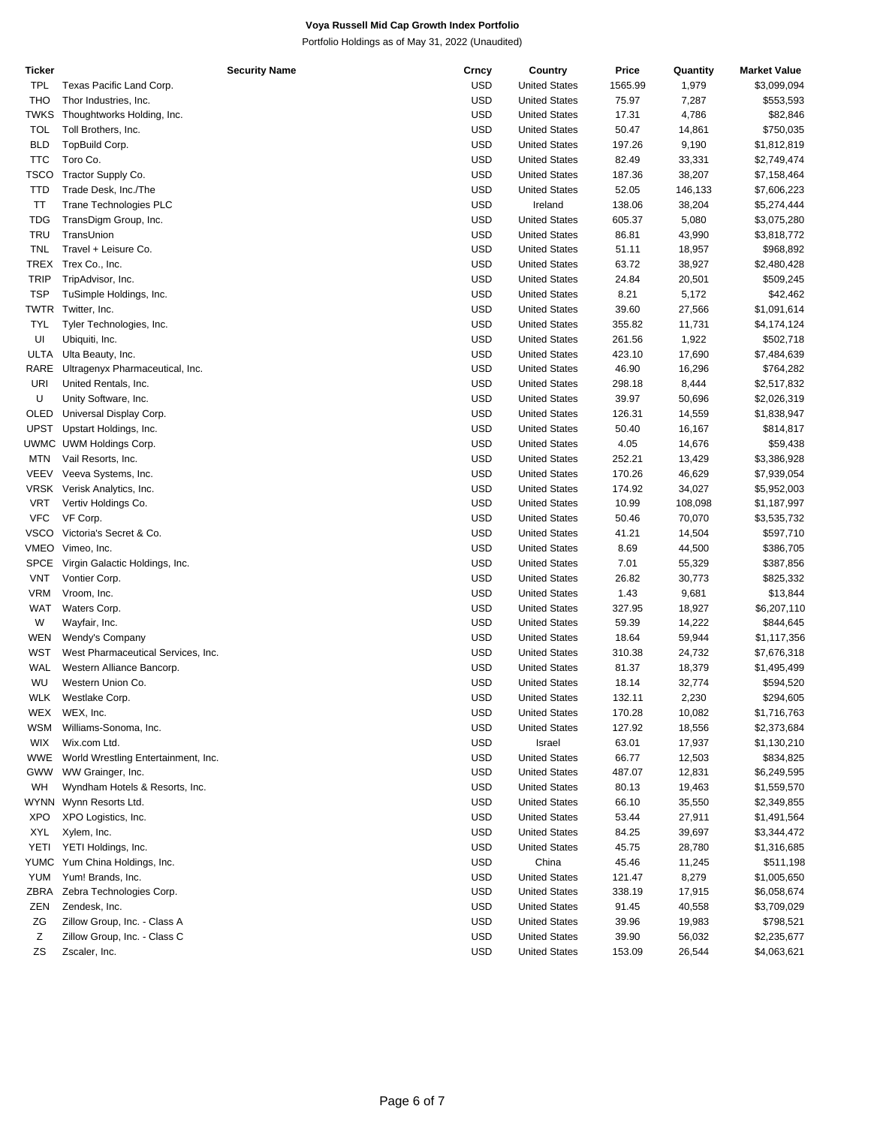| <b>Ticker</b> | <b>Security Name</b>                | Crncy      | Country              | Price   | Quantity | <b>Market Value</b> |
|---------------|-------------------------------------|------------|----------------------|---------|----------|---------------------|
| TPL           | Texas Pacific Land Corp.            | <b>USD</b> | <b>United States</b> | 1565.99 | 1,979    | \$3,099,094         |
| <b>THO</b>    | Thor Industries, Inc.               | <b>USD</b> | <b>United States</b> | 75.97   | 7,287    | \$553,593           |
| TWKS          | Thoughtworks Holding, Inc.          | USD        | <b>United States</b> | 17.31   | 4,786    | \$82,846            |
| <b>TOL</b>    | Toll Brothers, Inc.                 | USD        | <b>United States</b> | 50.47   | 14,861   | \$750,035           |
| <b>BLD</b>    | TopBuild Corp.                      | USD        | <b>United States</b> | 197.26  | 9,190    | \$1,812,819         |
| <b>TTC</b>    | Toro Co.                            | USD        | <b>United States</b> | 82.49   | 33,331   | \$2,749,474         |
| <b>TSCO</b>   | Tractor Supply Co.                  | USD        | <b>United States</b> | 187.36  | 38,207   | \$7,158,464         |
| <b>TTD</b>    | Trade Desk, Inc./The                | USD        | <b>United States</b> | 52.05   | 146,133  | \$7,606,223         |
| ΤT            | <b>Trane Technologies PLC</b>       | <b>USD</b> | Ireland              | 138.06  |          |                     |
|               |                                     |            |                      |         | 38,204   | \$5,274,444         |
| <b>TDG</b>    | TransDigm Group, Inc.               | USD        | <b>United States</b> | 605.37  | 5,080    | \$3,075,280         |
| <b>TRU</b>    | TransUnion                          | USD        | <b>United States</b> | 86.81   | 43,990   | \$3,818,772         |
| <b>TNL</b>    | Travel + Leisure Co.                | USD        | <b>United States</b> | 51.11   | 18,957   | \$968,892           |
| TREX          | Trex Co., Inc.                      | USD        | <b>United States</b> | 63.72   | 38,927   | \$2,480,428         |
| <b>TRIP</b>   | TripAdvisor, Inc.                   | USD        | <b>United States</b> | 24.84   | 20,501   | \$509,245           |
| <b>TSP</b>    | TuSimple Holdings, Inc.             | USD        | <b>United States</b> | 8.21    | 5,172    | \$42,462            |
| TWTR          | Twitter, Inc.                       | USD        | <b>United States</b> | 39.60   | 27,566   | \$1,091,614         |
| <b>TYL</b>    | Tyler Technologies, Inc.            | <b>USD</b> | <b>United States</b> | 355.82  | 11,731   | \$4,174,124         |
| UI            | Ubiquiti, Inc.                      | <b>USD</b> | <b>United States</b> | 261.56  | 1,922    | \$502,718           |
| ULTA          | Ulta Beauty, Inc.                   | USD        | <b>United States</b> | 423.10  | 17,690   | \$7,484,639         |
| RARE          | Ultragenyx Pharmaceutical, Inc.     | USD        | <b>United States</b> | 46.90   | 16,296   | \$764,282           |
| URI           | United Rentals, Inc.                | USD        | <b>United States</b> | 298.18  | 8,444    | \$2,517,832         |
| U             | Unity Software, Inc.                | <b>USD</b> | <b>United States</b> | 39.97   | 50,696   | \$2,026,319         |
| OLED          | Universal Display Corp.             | USD        | <b>United States</b> | 126.31  | 14,559   | \$1,838,947         |
| UPST          | Upstart Holdings, Inc.              | USD        | <b>United States</b> | 50.40   | 16,167   | \$814,817           |
|               | UWMC UWM Holdings Corp.             | <b>USD</b> | <b>United States</b> | 4.05    | 14,676   | \$59,438            |
| <b>MTN</b>    | Vail Resorts, Inc.                  | <b>USD</b> | <b>United States</b> | 252.21  | 13,429   | \$3,386,928         |
| <b>VEEV</b>   | Veeva Systems, Inc.                 | USD        | <b>United States</b> | 170.26  | 46,629   | \$7,939,054         |
|               | VRSK Verisk Analytics, Inc.         | USD        | <b>United States</b> | 174.92  | 34,027   | \$5,952,003         |
| <b>VRT</b>    | Vertiv Holdings Co.                 | USD        | <b>United States</b> | 10.99   | 108,098  | \$1,187,997         |
| <b>VFC</b>    | VF Corp.                            | <b>USD</b> | <b>United States</b> | 50.46   | 70,070   | \$3,535,732         |
| <b>VSCO</b>   | Victoria's Secret & Co.             | USD        | <b>United States</b> | 41.21   | 14,504   | \$597,710           |
|               | VMEO Vimeo, Inc.                    | USD        | <b>United States</b> | 8.69    | 44,500   | \$386,705           |
| <b>SPCE</b>   | Virgin Galactic Holdings, Inc.      | <b>USD</b> | <b>United States</b> | 7.01    | 55,329   | \$387,856           |
| <b>VNT</b>    |                                     | <b>USD</b> |                      |         |          |                     |
|               | Vontier Corp.                       |            | <b>United States</b> | 26.82   | 30,773   | \$825,332           |
| VRM           | Vroom, Inc.                         | USD        | <b>United States</b> | 1.43    | 9,681    | \$13,844            |
| <b>WAT</b>    | Waters Corp.                        | USD        | <b>United States</b> | 327.95  | 18,927   | \$6,207,110         |
| W             | Wayfair, Inc.                       | USD        | <b>United States</b> | 59.39   | 14,222   | \$844,645           |
| WEN           | Wendy's Company                     | USD        | <b>United States</b> | 18.64   | 59,944   | \$1,117,356         |
| WST           | West Pharmaceutical Services, Inc.  | USD        | <b>United States</b> | 310.38  | 24,732   | \$7,676,318         |
| WAL           | Western Alliance Bancorp.           | USD        | <b>United States</b> | 81.37   | 18,379   | \$1,495,499         |
| WU            | Western Union Co.                   | <b>USD</b> | <b>United States</b> | 18.14   | 32,774   | \$594,520           |
| WLK           | Westlake Corp.                      | USD        | <b>United States</b> | 132.11  | 2,230    | \$294,605           |
|               | WEX WEX, Inc.                       | USD        | <b>United States</b> | 170.28  | 10,082   | \$1,716,763         |
| <b>WSM</b>    | Williams-Sonoma, Inc.               | USD        | <b>United States</b> | 127.92  | 18,556   | \$2,373,684         |
| <b>WIX</b>    | Wix.com Ltd.                        | USD        | Israel               | 63.01   | 17,937   | \$1,130,210         |
| <b>WWE</b>    | World Wrestling Entertainment, Inc. | <b>USD</b> | <b>United States</b> | 66.77   | 12,503   | \$834,825           |
| GWW           | WW Grainger, Inc.                   | <b>USD</b> | <b>United States</b> | 487.07  | 12,831   | \$6,249,595         |
| WH            | Wyndham Hotels & Resorts, Inc.      | <b>USD</b> | <b>United States</b> | 80.13   | 19,463   | \$1,559,570         |
| WYNN          | Wynn Resorts Ltd.                   | USD        | <b>United States</b> | 66.10   | 35,550   | \$2,349,855         |
| XPO           | XPO Logistics, Inc.                 | USD        | <b>United States</b> | 53.44   | 27,911   | \$1,491,564         |
| XYL           | Xylem, Inc.                         | <b>USD</b> | <b>United States</b> | 84.25   | 39,697   | \$3,344,472         |
| YETI          | YETI Holdings, Inc.                 | <b>USD</b> | <b>United States</b> | 45.75   | 28,780   | \$1,316,685         |
| YUMC          | Yum China Holdings, Inc.            | USD        | China                | 45.46   | 11,245   | \$511,198           |
| YUM           | Yum! Brands, Inc.                   | <b>USD</b> | <b>United States</b> | 121.47  | 8,279    | \$1,005,650         |
| ZBRA          | Zebra Technologies Corp.            | <b>USD</b> | <b>United States</b> | 338.19  | 17,915   | \$6,058,674         |
| ZEN           | Zendesk, Inc.                       | <b>USD</b> | <b>United States</b> | 91.45   | 40,558   | \$3,709,029         |
| ΖG            | Zillow Group, Inc. - Class A        | USD        | <b>United States</b> | 39.96   | 19,983   | \$798,521           |
| Ζ             | Zillow Group, Inc. - Class C        | <b>USD</b> | <b>United States</b> | 39.90   | 56,032   | \$2,235,677         |
| ΖS            | Zscaler, Inc.                       | USD        | <b>United States</b> | 153.09  | 26,544   | \$4,063,621         |
|               |                                     |            |                      |         |          |                     |